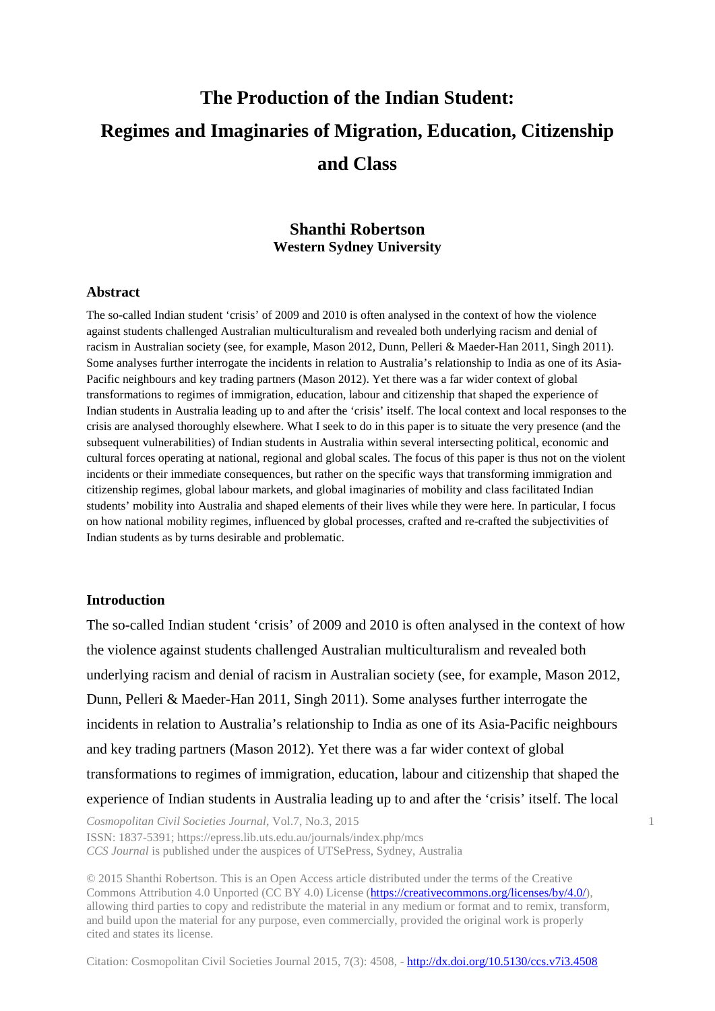# **The Production of the Indian Student: Regimes and Imaginaries of Migration, Education, Citizenship and Class**

# **Shanthi Robertson Western Sydney University**

#### **Abstract**

The so-called Indian student 'crisis' of 2009 and 2010 is often analysed in the context of how the violence against students challenged Australian multiculturalism and revealed both underlying racism and denial of racism in Australian society (see, for example, Mason 2012, Dunn, Pelleri & Maeder-Han 2011, Singh 2011). Some analyses further interrogate the incidents in relation to Australia's relationship to India as one of its Asia-Pacific neighbours and key trading partners (Mason 2012). Yet there was a far wider context of global transformations to regimes of immigration, education, labour and citizenship that shaped the experience of Indian students in Australia leading up to and after the 'crisis' itself. The local context and local responses to the crisis are analysed thoroughly elsewhere. What I seek to do in this paper is to situate the very presence (and the subsequent vulnerabilities) of Indian students in Australia within several intersecting political, economic and cultural forces operating at national, regional and global scales. The focus of this paper is thus not on the violent incidents or their immediate consequences, but rather on the specific ways that transforming immigration and citizenship regimes, global labour markets, and global imaginaries of mobility and class facilitated Indian students' mobility into Australia and shaped elements of their lives while they were here. In particular, I focus on how national mobility regimes, influenced by global processes, crafted and re-crafted the subjectivities of Indian students as by turns desirable and problematic.

# **Introduction**

The so-called Indian student 'crisis' of 2009 and 2010 is often analysed in the context of how the violence against students challenged Australian multiculturalism and revealed both underlying racism and denial of racism in Australian society (see, for example, Mason 2012, Dunn, Pelleri & Maeder-Han 2011, Singh 2011). Some analyses further interrogate the incidents in relation to Australia's relationship to India as one of its Asia-Pacific neighbours and key trading partners (Mason 2012). Yet there was a far wider context of global transformations to regimes of immigration, education, labour and citizenship that shaped the experience of Indian students in Australia leading up to and after the 'crisis' itself. The local

*Cosmopolitan Civil Societies Journal*, Vol.7, No.3, 2015 1 ISSN: 1837-5391; https://epress.lib.uts.edu.au/journals/index.php/mcs *CCS Journal* is published under the auspices of UTSePress, Sydney, Australia

© 2015 Shanthi Robertson. This is an Open Access article distributed under the terms of the Creative Commons Attribution 4.0 Unported (CC BY 4.0) License [\(https://creativecommons.org/licenses/by/4.0/\)](https://creativecommons.org/licenses/by/4.0/), allowing third parties to copy and redistribute the material in any medium or format and to remix, transform, and build upon the material for any purpose, even commercially, provided the original work is properly cited and states its license.

Citation: Cosmopolitan Civil Societies Journal 2015, 7(3): 4508, - <http://dx.doi.org/10.5130/ccs.v7i3.4508>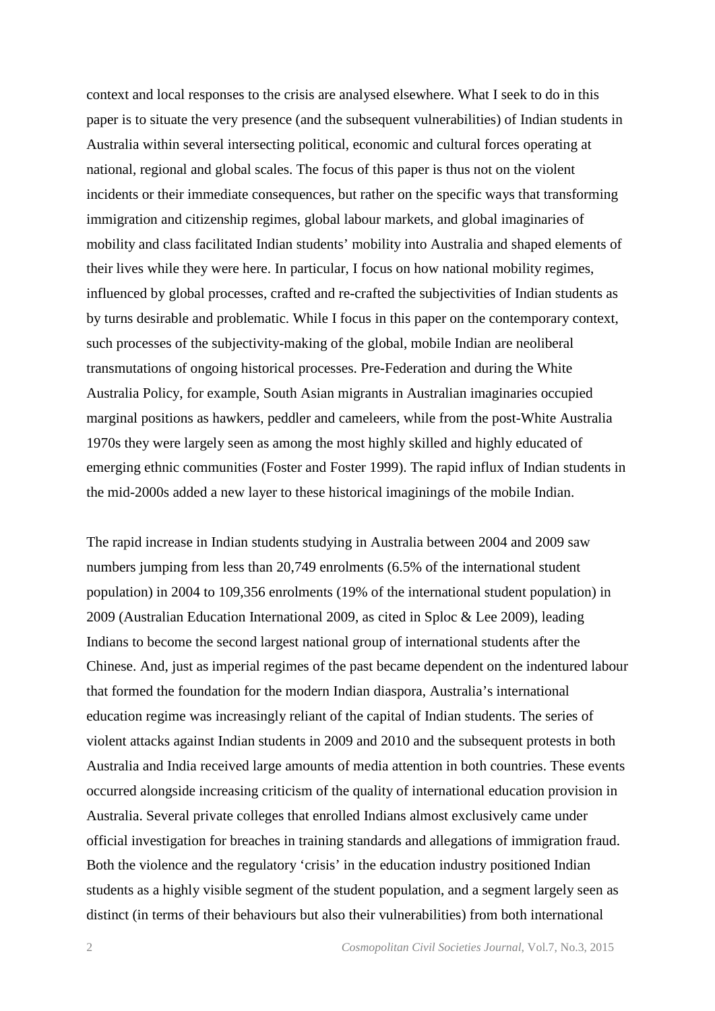context and local responses to the crisis are analysed elsewhere. What I seek to do in this paper is to situate the very presence (and the subsequent vulnerabilities) of Indian students in Australia within several intersecting political, economic and cultural forces operating at national, regional and global scales. The focus of this paper is thus not on the violent incidents or their immediate consequences, but rather on the specific ways that transforming immigration and citizenship regimes, global labour markets, and global imaginaries of mobility and class facilitated Indian students' mobility into Australia and shaped elements of their lives while they were here. In particular, I focus on how national mobility regimes, influenced by global processes, crafted and re-crafted the subjectivities of Indian students as by turns desirable and problematic. While I focus in this paper on the contemporary context, such processes of the subjectivity-making of the global, mobile Indian are neoliberal transmutations of ongoing historical processes. Pre-Federation and during the White Australia Policy, for example, South Asian migrants in Australian imaginaries occupied marginal positions as hawkers, peddler and cameleers, while from the post-White Australia 1970s they were largely seen as among the most highly skilled and highly educated of emerging ethnic communities (Foster and Foster 1999). The rapid influx of Indian students in the mid-2000s added a new layer to these historical imaginings of the mobile Indian.

The rapid increase in Indian students studying in Australia between 2004 and 2009 saw numbers jumping from less than 20,749 enrolments (6.5% of the international student population) in 2004 to 109,356 enrolments (19% of the international student population) in 2009 (Australian Education International 2009, as cited in Sploc & Lee 2009), leading Indians to become the second largest national group of international students after the Chinese. And, just as imperial regimes of the past became dependent on the indentured labour that formed the foundation for the modern Indian diaspora, Australia's international education regime was increasingly reliant of the capital of Indian students. The series of violent attacks against Indian students in 2009 and 2010 and the subsequent protests in both Australia and India received large amounts of media attention in both countries. These events occurred alongside increasing criticism of the quality of international education provision in Australia. Several private colleges that enrolled Indians almost exclusively came under official investigation for breaches in training standards and allegations of immigration fraud. Both the violence and the regulatory 'crisis' in the education industry positioned Indian students as a highly visible segment of the student population, and a segment largely seen as distinct (in terms of their behaviours but also their vulnerabilities) from both international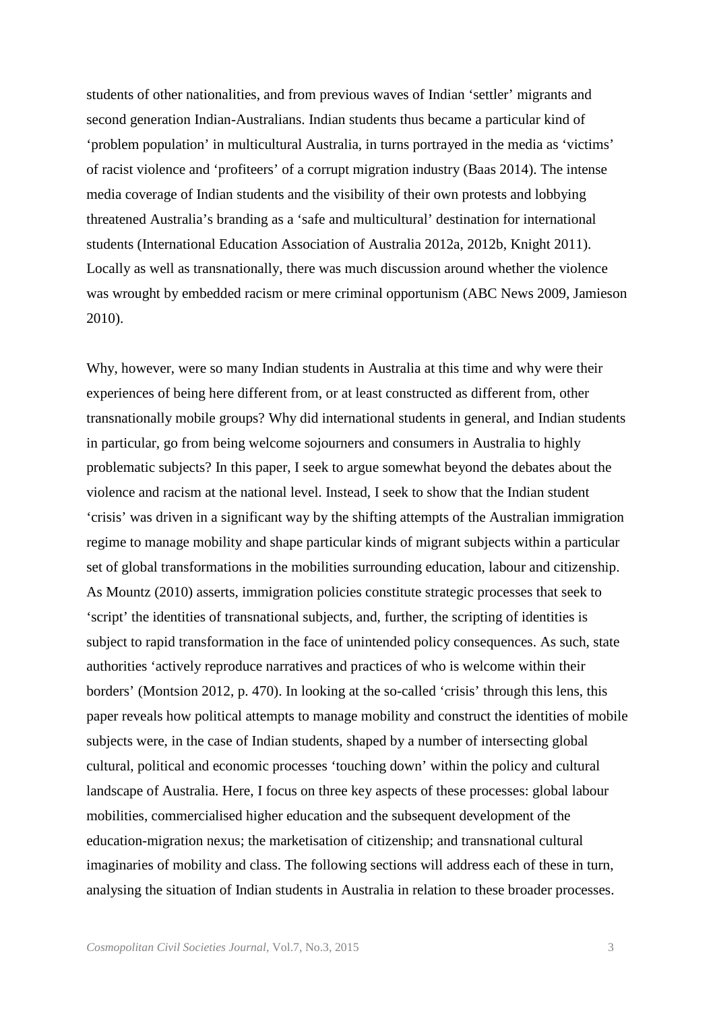students of other nationalities, and from previous waves of Indian 'settler' migrants and second generation Indian-Australians. Indian students thus became a particular kind of 'problem population' in multicultural Australia, in turns portrayed in the media as 'victims' of racist violence and 'profiteers' of a corrupt migration industry (Baas 2014). The intense media coverage of Indian students and the visibility of their own protests and lobbying threatened Australia's branding as a 'safe and multicultural' destination for international students (International Education Association of Australia 2012a, 2012b, Knight 2011). Locally as well as transnationally, there was much discussion around whether the violence was wrought by embedded racism or mere criminal opportunism (ABC News 2009, Jamieson 2010).

Why, however, were so many Indian students in Australia at this time and why were their experiences of being here different from, or at least constructed as different from, other transnationally mobile groups? Why did international students in general, and Indian students in particular, go from being welcome sojourners and consumers in Australia to highly problematic subjects? In this paper, I seek to argue somewhat beyond the debates about the violence and racism at the national level. Instead, I seek to show that the Indian student 'crisis' was driven in a significant way by the shifting attempts of the Australian immigration regime to manage mobility and shape particular kinds of migrant subjects within a particular set of global transformations in the mobilities surrounding education, labour and citizenship. As Mountz (2010) asserts, immigration policies constitute strategic processes that seek to 'script' the identities of transnational subjects, and, further, the scripting of identities is subject to rapid transformation in the face of unintended policy consequences. As such, state authorities 'actively reproduce narratives and practices of who is welcome within their borders' (Montsion 2012, p. 470). In looking at the so-called 'crisis' through this lens, this paper reveals how political attempts to manage mobility and construct the identities of mobile subjects were, in the case of Indian students, shaped by a number of intersecting global cultural, political and economic processes 'touching down' within the policy and cultural landscape of Australia. Here, I focus on three key aspects of these processes: global labour mobilities, commercialised higher education and the subsequent development of the education-migration nexus; the marketisation of citizenship; and transnational cultural imaginaries of mobility and class. The following sections will address each of these in turn, analysing the situation of Indian students in Australia in relation to these broader processes.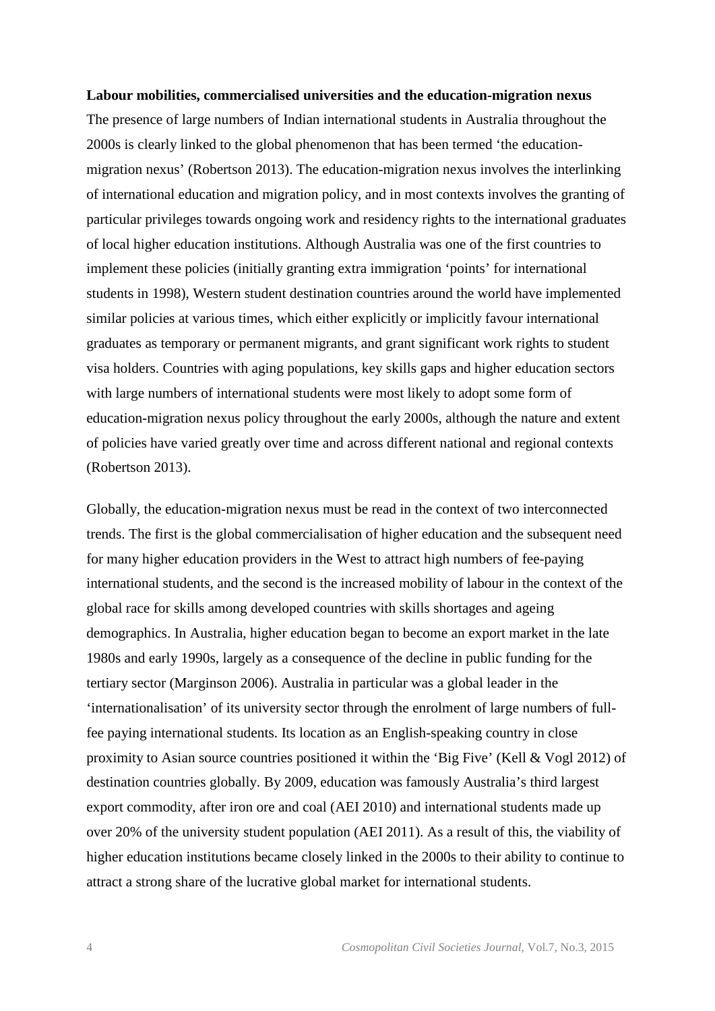#### **Labour mobilities, commercialised universities and the education-migration nexus**

The presence of large numbers of Indian international students in Australia throughout the 2000s is clearly linked to the global phenomenon that has been termed 'the educationmigration nexus' (Robertson 2013). The education-migration nexus involves the interlinking of international education and migration policy, and in most contexts involves the granting of particular privileges towards ongoing work and residency rights to the international graduates of local higher education institutions. Although Australia was one of the first countries to implement these policies (initially granting extra immigration 'points' for international students in 1998), Western student destination countries around the world have implemented similar policies at various times, which either explicitly or implicitly favour international graduates as temporary or permanent migrants, and grant significant work rights to student visa holders. Countries with aging populations, key skills gaps and higher education sectors with large numbers of international students were most likely to adopt some form of education-migration nexus policy throughout the early 2000s, although the nature and extent of policies have varied greatly over time and across different national and regional contexts (Robertson 2013).

Globally, the education-migration nexus must be read in the context of two interconnected trends. The first is the global commercialisation of higher education and the subsequent need for many higher education providers in the West to attract high numbers of fee-paying international students, and the second is the increased mobility of labour in the context of the global race for skills among developed countries with skills shortages and ageing demographics. In Australia, higher education began to become an export market in the late 1980s and early 1990s, largely as a consequence of the decline in public funding for the tertiary sector (Marginson 2006). Australia in particular was a global leader in the 'internationalisation' of its university sector through the enrolment of large numbers of fullfee paying international students. Its location as an English-speaking country in close proximity to Asian source countries positioned it within the 'Big Five' (Kell & Vogl 2012) of destination countries globally. By 2009, education was famously Australia's third largest export commodity, after iron ore and coal (AEI 2010) and international students made up over 20% of the university student population (AEI 2011). As a result of this, the viability of higher education institutions became closely linked in the 2000s to their ability to continue to attract a strong share of the lucrative global market for international students.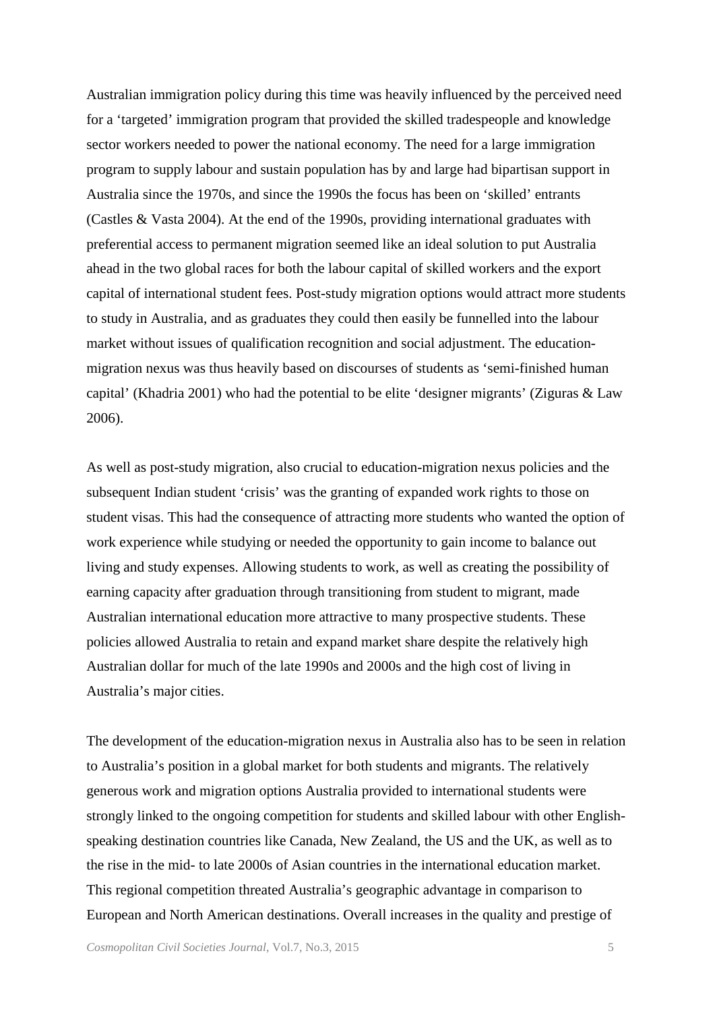Australian immigration policy during this time was heavily influenced by the perceived need for a 'targeted' immigration program that provided the skilled tradespeople and knowledge sector workers needed to power the national economy. The need for a large immigration program to supply labour and sustain population has by and large had bipartisan support in Australia since the 1970s, and since the 1990s the focus has been on 'skilled' entrants (Castles & Vasta 2004). At the end of the 1990s, providing international graduates with preferential access to permanent migration seemed like an ideal solution to put Australia ahead in the two global races for both the labour capital of skilled workers and the export capital of international student fees. Post-study migration options would attract more students to study in Australia, and as graduates they could then easily be funnelled into the labour market without issues of qualification recognition and social adjustment. The educationmigration nexus was thus heavily based on discourses of students as 'semi-finished human capital' (Khadria 2001) who had the potential to be elite 'designer migrants' (Ziguras & Law 2006).

As well as post-study migration, also crucial to education-migration nexus policies and the subsequent Indian student 'crisis' was the granting of expanded work rights to those on student visas. This had the consequence of attracting more students who wanted the option of work experience while studying or needed the opportunity to gain income to balance out living and study expenses. Allowing students to work, as well as creating the possibility of earning capacity after graduation through transitioning from student to migrant, made Australian international education more attractive to many prospective students. These policies allowed Australia to retain and expand market share despite the relatively high Australian dollar for much of the late 1990s and 2000s and the high cost of living in Australia's major cities.

The development of the education-migration nexus in Australia also has to be seen in relation to Australia's position in a global market for both students and migrants. The relatively generous work and migration options Australia provided to international students were strongly linked to the ongoing competition for students and skilled labour with other Englishspeaking destination countries like Canada, New Zealand, the US and the UK, as well as to the rise in the mid- to late 2000s of Asian countries in the international education market. This regional competition threated Australia's geographic advantage in comparison to European and North American destinations. Overall increases in the quality and prestige of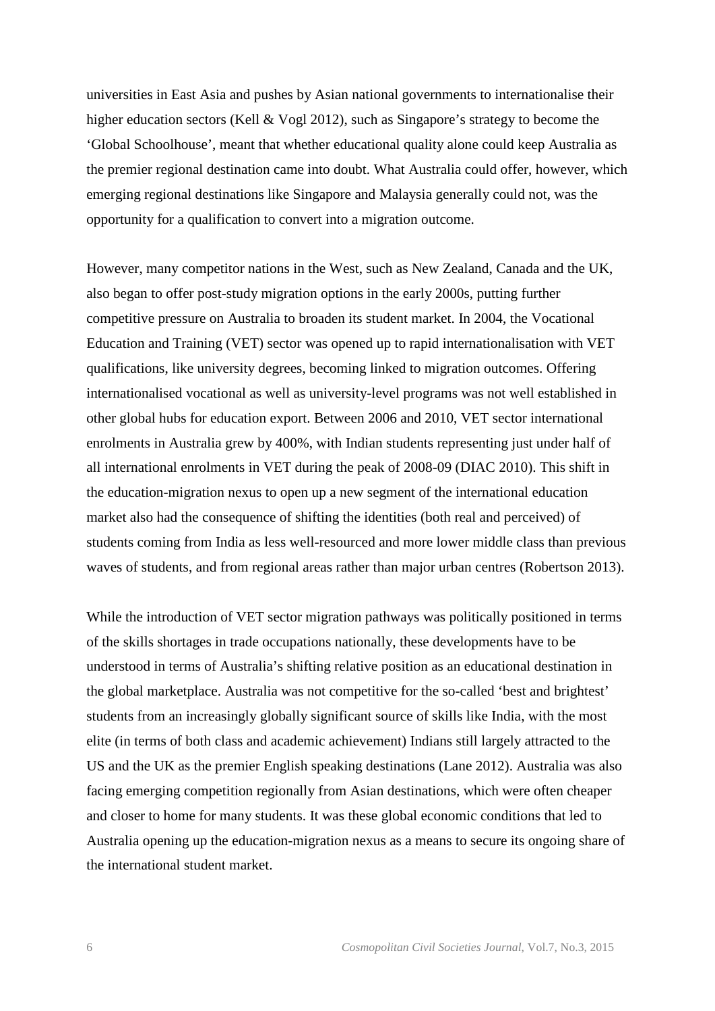universities in East Asia and pushes by Asian national governments to internationalise their higher education sectors (Kell & Vogl 2012), such as Singapore's strategy to become the 'Global Schoolhouse', meant that whether educational quality alone could keep Australia as the premier regional destination came into doubt. What Australia could offer, however, which emerging regional destinations like Singapore and Malaysia generally could not, was the opportunity for a qualification to convert into a migration outcome.

However, many competitor nations in the West, such as New Zealand, Canada and the UK, also began to offer post-study migration options in the early 2000s, putting further competitive pressure on Australia to broaden its student market. In 2004, the Vocational Education and Training (VET) sector was opened up to rapid internationalisation with VET qualifications, like university degrees, becoming linked to migration outcomes. Offering internationalised vocational as well as university-level programs was not well established in other global hubs for education export. Between 2006 and 2010, VET sector international enrolments in Australia grew by 400%, with Indian students representing just under half of all international enrolments in VET during the peak of 2008-09 (DIAC 2010). This shift in the education-migration nexus to open up a new segment of the international education market also had the consequence of shifting the identities (both real and perceived) of students coming from India as less well-resourced and more lower middle class than previous waves of students, and from regional areas rather than major urban centres (Robertson 2013).

While the introduction of VET sector migration pathways was politically positioned in terms of the skills shortages in trade occupations nationally, these developments have to be understood in terms of Australia's shifting relative position as an educational destination in the global marketplace. Australia was not competitive for the so-called 'best and brightest' students from an increasingly globally significant source of skills like India, with the most elite (in terms of both class and academic achievement) Indians still largely attracted to the US and the UK as the premier English speaking destinations (Lane 2012). Australia was also facing emerging competition regionally from Asian destinations, which were often cheaper and closer to home for many students. It was these global economic conditions that led to Australia opening up the education-migration nexus as a means to secure its ongoing share of the international student market.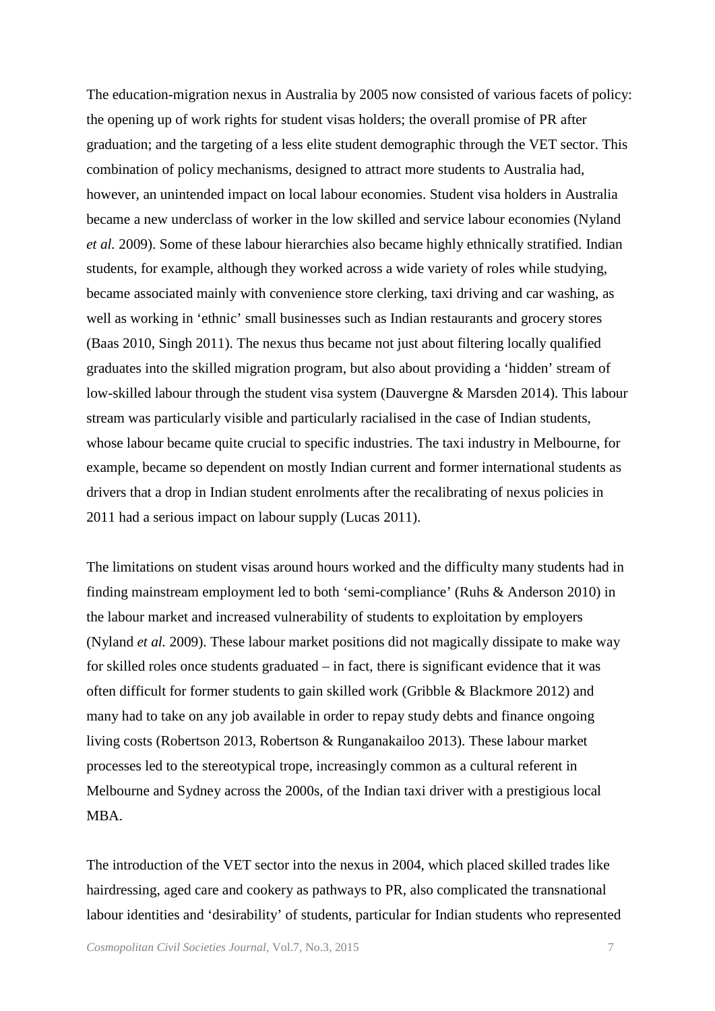The education-migration nexus in Australia by 2005 now consisted of various facets of policy: the opening up of work rights for student visas holders; the overall promise of PR after graduation; and the targeting of a less elite student demographic through the VET sector. This combination of policy mechanisms, designed to attract more students to Australia had, however, an unintended impact on local labour economies. Student visa holders in Australia became a new underclass of worker in the low skilled and service labour economies (Nyland *et al.* 2009). Some of these labour hierarchies also became highly ethnically stratified. Indian students, for example, although they worked across a wide variety of roles while studying, became associated mainly with convenience store clerking, taxi driving and car washing, as well as working in 'ethnic' small businesses such as Indian restaurants and grocery stores (Baas 2010, Singh 2011). The nexus thus became not just about filtering locally qualified graduates into the skilled migration program, but also about providing a 'hidden' stream of low-skilled labour through the student visa system (Dauvergne & Marsden 2014). This labour stream was particularly visible and particularly racialised in the case of Indian students, whose labour became quite crucial to specific industries. The taxi industry in Melbourne, for example, became so dependent on mostly Indian current and former international students as drivers that a drop in Indian student enrolments after the recalibrating of nexus policies in 2011 had a serious impact on labour supply (Lucas 2011).

The limitations on student visas around hours worked and the difficulty many students had in finding mainstream employment led to both 'semi-compliance' (Ruhs & Anderson 2010) in the labour market and increased vulnerability of students to exploitation by employers (Nyland *et al.* 2009). These labour market positions did not magically dissipate to make way for skilled roles once students graduated – in fact, there is significant evidence that it was often difficult for former students to gain skilled work (Gribble & Blackmore 2012) and many had to take on any job available in order to repay study debts and finance ongoing living costs (Robertson 2013, Robertson & Runganakailoo 2013). These labour market processes led to the stereotypical trope, increasingly common as a cultural referent in Melbourne and Sydney across the 2000s, of the Indian taxi driver with a prestigious local MBA.

The introduction of the VET sector into the nexus in 2004, which placed skilled trades like hairdressing, aged care and cookery as pathways to PR, also complicated the transnational labour identities and 'desirability' of students, particular for Indian students who represented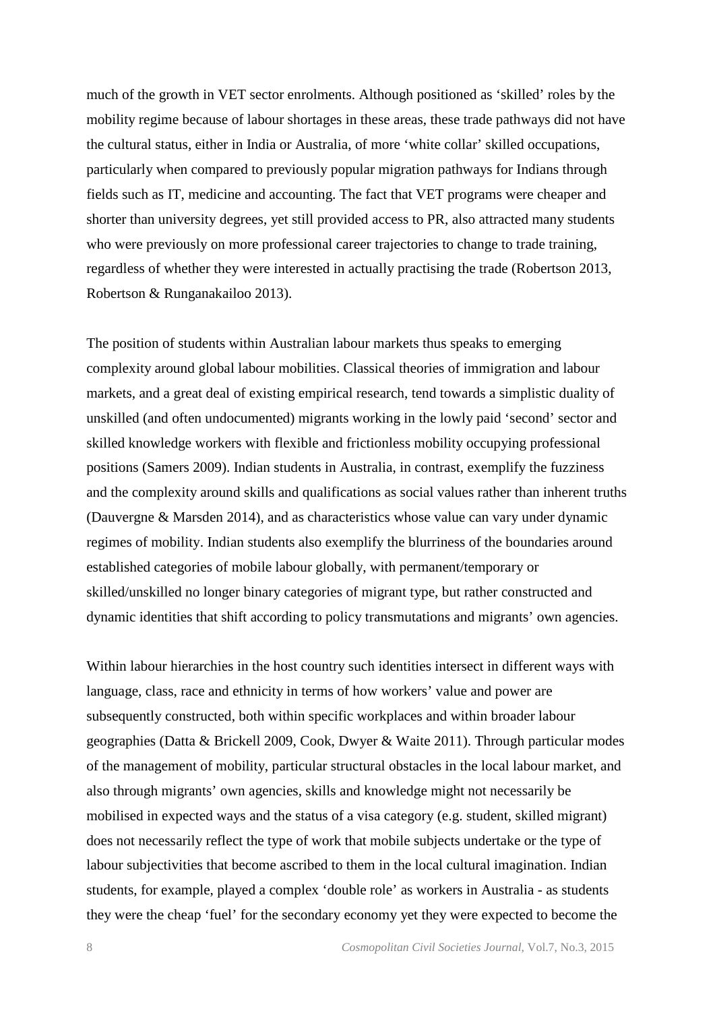much of the growth in VET sector enrolments. Although positioned as 'skilled' roles by the mobility regime because of labour shortages in these areas, these trade pathways did not have the cultural status, either in India or Australia, of more 'white collar' skilled occupations, particularly when compared to previously popular migration pathways for Indians through fields such as IT, medicine and accounting. The fact that VET programs were cheaper and shorter than university degrees, yet still provided access to PR, also attracted many students who were previously on more professional career trajectories to change to trade training, regardless of whether they were interested in actually practising the trade (Robertson 2013, Robertson & Runganakailoo 2013).

The position of students within Australian labour markets thus speaks to emerging complexity around global labour mobilities. Classical theories of immigration and labour markets, and a great deal of existing empirical research, tend towards a simplistic duality of unskilled (and often undocumented) migrants working in the lowly paid 'second' sector and skilled knowledge workers with flexible and frictionless mobility occupying professional positions (Samers 2009). Indian students in Australia, in contrast, exemplify the fuzziness and the complexity around skills and qualifications as social values rather than inherent truths (Dauvergne & Marsden 2014), and as characteristics whose value can vary under dynamic regimes of mobility. Indian students also exemplify the blurriness of the boundaries around established categories of mobile labour globally, with permanent/temporary or skilled/unskilled no longer binary categories of migrant type, but rather constructed and dynamic identities that shift according to policy transmutations and migrants' own agencies.

Within labour hierarchies in the host country such identities intersect in different ways with language, class, race and ethnicity in terms of how workers' value and power are subsequently constructed, both within specific workplaces and within broader labour geographies (Datta & Brickell 2009, Cook, Dwyer & Waite 2011). Through particular modes of the management of mobility, particular structural obstacles in the local labour market, and also through migrants' own agencies, skills and knowledge might not necessarily be mobilised in expected ways and the status of a visa category (e.g. student, skilled migrant) does not necessarily reflect the type of work that mobile subjects undertake or the type of labour subjectivities that become ascribed to them in the local cultural imagination. Indian students, for example, played a complex 'double role' as workers in Australia - as students they were the cheap 'fuel' for the secondary economy yet they were expected to become the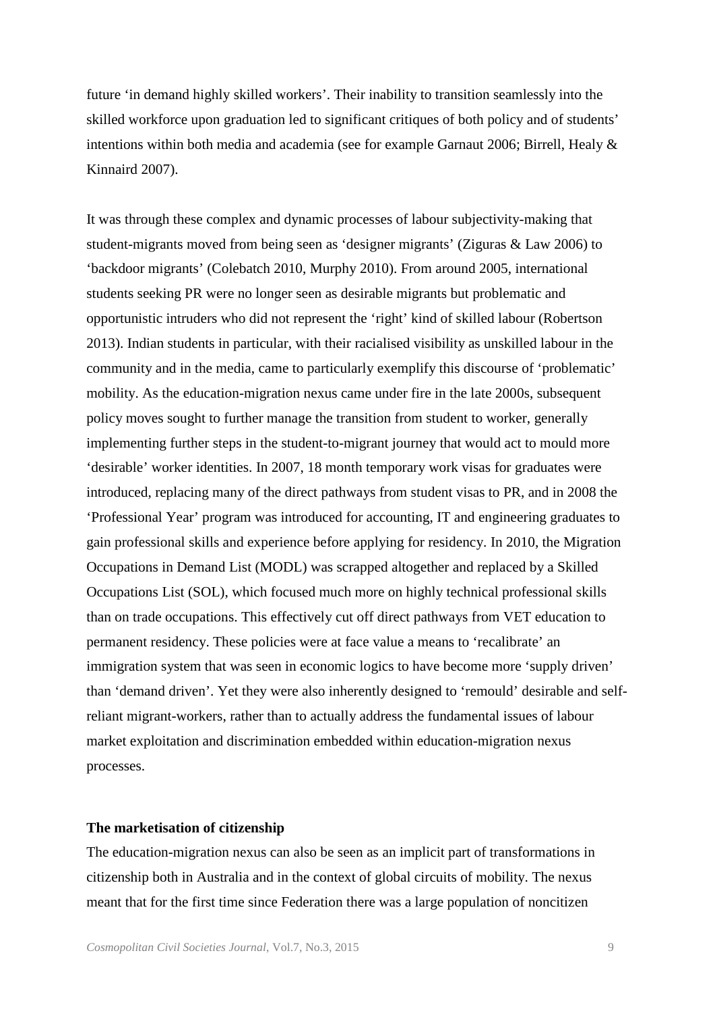future 'in demand highly skilled workers'. Their inability to transition seamlessly into the skilled workforce upon graduation led to significant critiques of both policy and of students' intentions within both media and academia (see for example Garnaut 2006; Birrell, Healy & Kinnaird 2007).

It was through these complex and dynamic processes of labour subjectivity-making that student-migrants moved from being seen as 'designer migrants' (Ziguras & Law 2006) to 'backdoor migrants' (Colebatch 2010, Murphy 2010). From around 2005, international students seeking PR were no longer seen as desirable migrants but problematic and opportunistic intruders who did not represent the 'right' kind of skilled labour (Robertson 2013). Indian students in particular, with their racialised visibility as unskilled labour in the community and in the media, came to particularly exemplify this discourse of 'problematic' mobility. As the education-migration nexus came under fire in the late 2000s, subsequent policy moves sought to further manage the transition from student to worker, generally implementing further steps in the student-to-migrant journey that would act to mould more 'desirable' worker identities. In 2007, 18 month temporary work visas for graduates were introduced, replacing many of the direct pathways from student visas to PR, and in 2008 the 'Professional Year' program was introduced for accounting, IT and engineering graduates to gain professional skills and experience before applying for residency. In 2010, the Migration Occupations in Demand List (MODL) was scrapped altogether and replaced by a Skilled Occupations List (SOL), which focused much more on highly technical professional skills than on trade occupations. This effectively cut off direct pathways from VET education to permanent residency. These policies were at face value a means to 'recalibrate' an immigration system that was seen in economic logics to have become more 'supply driven' than 'demand driven'. Yet they were also inherently designed to 'remould' desirable and selfreliant migrant-workers, rather than to actually address the fundamental issues of labour market exploitation and discrimination embedded within education-migration nexus processes.

# **The marketisation of citizenship**

The education-migration nexus can also be seen as an implicit part of transformations in citizenship both in Australia and in the context of global circuits of mobility. The nexus meant that for the first time since Federation there was a large population of noncitizen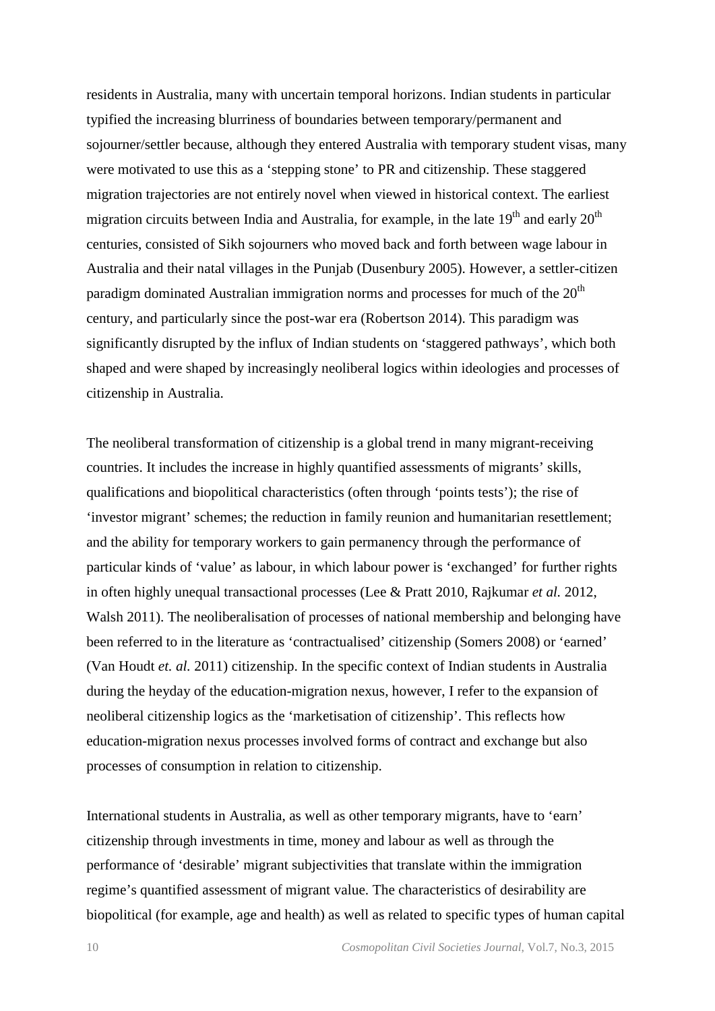residents in Australia, many with uncertain temporal horizons. Indian students in particular typified the increasing blurriness of boundaries between temporary/permanent and sojourner/settler because, although they entered Australia with temporary student visas, many were motivated to use this as a 'stepping stone' to PR and citizenship. These staggered migration trajectories are not entirely novel when viewed in historical context. The earliest migration circuits between India and Australia, for example, in the late  $19<sup>th</sup>$  and early  $20<sup>th</sup>$ centuries, consisted of Sikh sojourners who moved back and forth between wage labour in Australia and their natal villages in the Punjab (Dusenbury 2005). However, a settler-citizen paradigm dominated Australian immigration norms and processes for much of the  $20<sup>th</sup>$ century, and particularly since the post-war era (Robertson 2014). This paradigm was significantly disrupted by the influx of Indian students on 'staggered pathways', which both shaped and were shaped by increasingly neoliberal logics within ideologies and processes of citizenship in Australia.

The neoliberal transformation of citizenship is a global trend in many migrant-receiving countries. It includes the increase in highly quantified assessments of migrants' skills, qualifications and biopolitical characteristics (often through 'points tests'); the rise of 'investor migrant' schemes; the reduction in family reunion and humanitarian resettlement; and the ability for temporary workers to gain permanency through the performance of particular kinds of 'value' as labour, in which labour power is 'exchanged' for further rights in often highly unequal transactional processes (Lee & Pratt 2010, Rajkumar *et al.* 2012, Walsh 2011). The neoliberalisation of processes of national membership and belonging have been referred to in the literature as 'contractualised' citizenship (Somers 2008) or 'earned' (Van Houdt *et. al.* 2011) citizenship. In the specific context of Indian students in Australia during the heyday of the education-migration nexus, however, I refer to the expansion of neoliberal citizenship logics as the 'marketisation of citizenship'. This reflects how education-migration nexus processes involved forms of contract and exchange but also processes of consumption in relation to citizenship.

International students in Australia, as well as other temporary migrants, have to 'earn' citizenship through investments in time, money and labour as well as through the performance of 'desirable' migrant subjectivities that translate within the immigration regime's quantified assessment of migrant value. The characteristics of desirability are biopolitical (for example, age and health) as well as related to specific types of human capital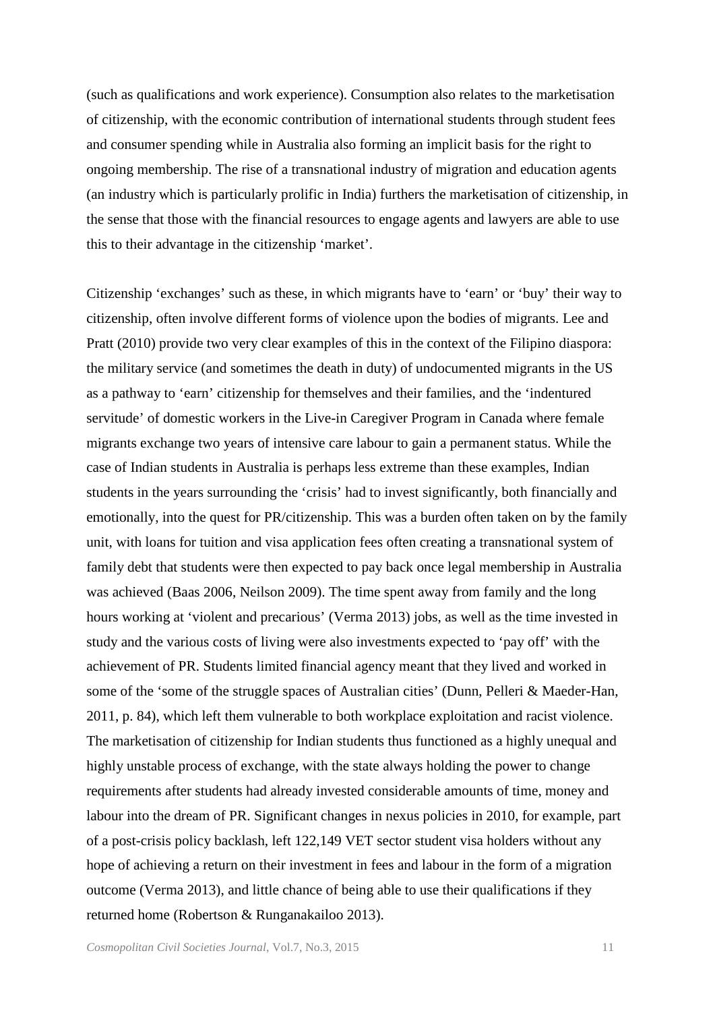(such as qualifications and work experience). Consumption also relates to the marketisation of citizenship, with the economic contribution of international students through student fees and consumer spending while in Australia also forming an implicit basis for the right to ongoing membership. The rise of a transnational industry of migration and education agents (an industry which is particularly prolific in India) furthers the marketisation of citizenship, in the sense that those with the financial resources to engage agents and lawyers are able to use this to their advantage in the citizenship 'market'.

Citizenship 'exchanges' such as these, in which migrants have to 'earn' or 'buy' their way to citizenship, often involve different forms of violence upon the bodies of migrants. Lee and Pratt (2010) provide two very clear examples of this in the context of the Filipino diaspora: the military service (and sometimes the death in duty) of undocumented migrants in the US as a pathway to 'earn' citizenship for themselves and their families, and the 'indentured servitude' of domestic workers in the Live-in Caregiver Program in Canada where female migrants exchange two years of intensive care labour to gain a permanent status. While the case of Indian students in Australia is perhaps less extreme than these examples, Indian students in the years surrounding the 'crisis' had to invest significantly, both financially and emotionally, into the quest for PR/citizenship. This was a burden often taken on by the family unit, with loans for tuition and visa application fees often creating a transnational system of family debt that students were then expected to pay back once legal membership in Australia was achieved (Baas 2006, Neilson 2009). The time spent away from family and the long hours working at 'violent and precarious' (Verma 2013) jobs, as well as the time invested in study and the various costs of living were also investments expected to 'pay off' with the achievement of PR. Students limited financial agency meant that they lived and worked in some of the 'some of the struggle spaces of Australian cities' (Dunn, Pelleri & Maeder-Han, 2011, p. 84), which left them vulnerable to both workplace exploitation and racist violence. The marketisation of citizenship for Indian students thus functioned as a highly unequal and highly unstable process of exchange, with the state always holding the power to change requirements after students had already invested considerable amounts of time, money and labour into the dream of PR. Significant changes in nexus policies in 2010, for example, part of a post-crisis policy backlash, left 122,149 VET sector student visa holders without any hope of achieving a return on their investment in fees and labour in the form of a migration outcome (Verma 2013), and little chance of being able to use their qualifications if they returned home (Robertson & Runganakailoo 2013).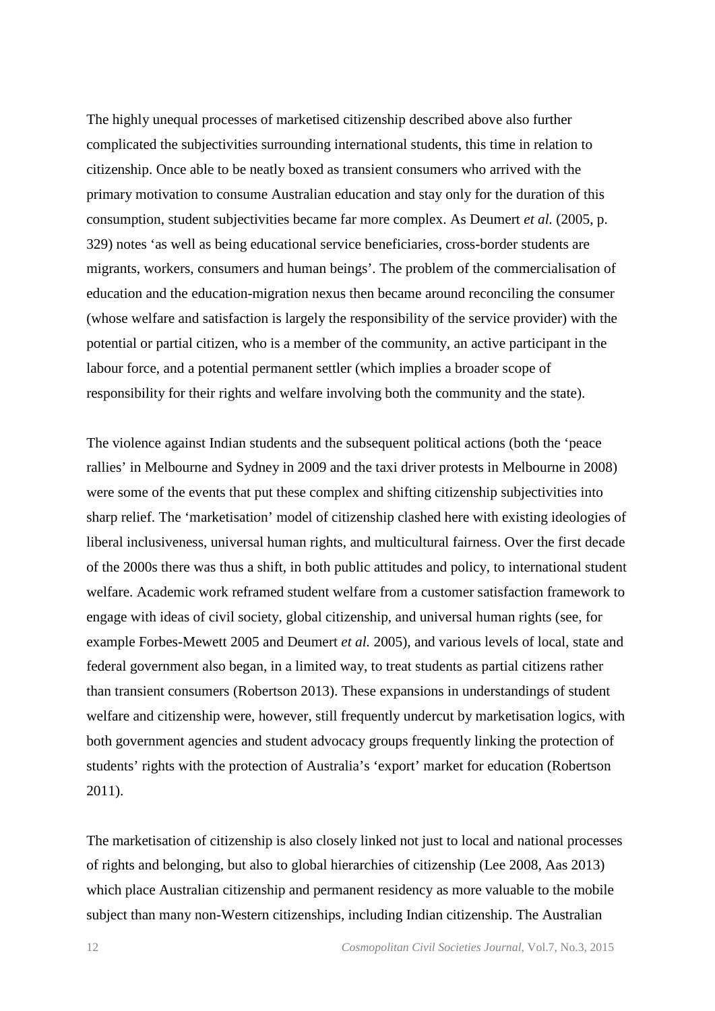The highly unequal processes of marketised citizenship described above also further complicated the subjectivities surrounding international students, this time in relation to citizenship. Once able to be neatly boxed as transient consumers who arrived with the primary motivation to consume Australian education and stay only for the duration of this consumption, student subjectivities became far more complex. As Deumert *et al.* (2005, p. 329) notes 'as well as being educational service beneficiaries, cross-border students are migrants, workers, consumers and human beings'. The problem of the commercialisation of education and the education-migration nexus then became around reconciling the consumer (whose welfare and satisfaction is largely the responsibility of the service provider) with the potential or partial citizen, who is a member of the community, an active participant in the labour force, and a potential permanent settler (which implies a broader scope of responsibility for their rights and welfare involving both the community and the state).

The violence against Indian students and the subsequent political actions (both the 'peace rallies' in Melbourne and Sydney in 2009 and the taxi driver protests in Melbourne in 2008) were some of the events that put these complex and shifting citizenship subjectivities into sharp relief. The 'marketisation' model of citizenship clashed here with existing ideologies of liberal inclusiveness, universal human rights, and multicultural fairness. Over the first decade of the 2000s there was thus a shift, in both public attitudes and policy, to international student welfare. Academic work reframed student welfare from a customer satisfaction framework to engage with ideas of civil society, global citizenship, and universal human rights (see, for example Forbes-Mewett 2005 and Deumert *et al.* 2005), and various levels of local, state and federal government also began, in a limited way, to treat students as partial citizens rather than transient consumers (Robertson 2013). These expansions in understandings of student welfare and citizenship were, however, still frequently undercut by marketisation logics, with both government agencies and student advocacy groups frequently linking the protection of students' rights with the protection of Australia's 'export' market for education (Robertson 2011).

The marketisation of citizenship is also closely linked not just to local and national processes of rights and belonging, but also to global hierarchies of citizenship (Lee 2008, Aas 2013) which place Australian citizenship and permanent residency as more valuable to the mobile subject than many non-Western citizenships, including Indian citizenship. The Australian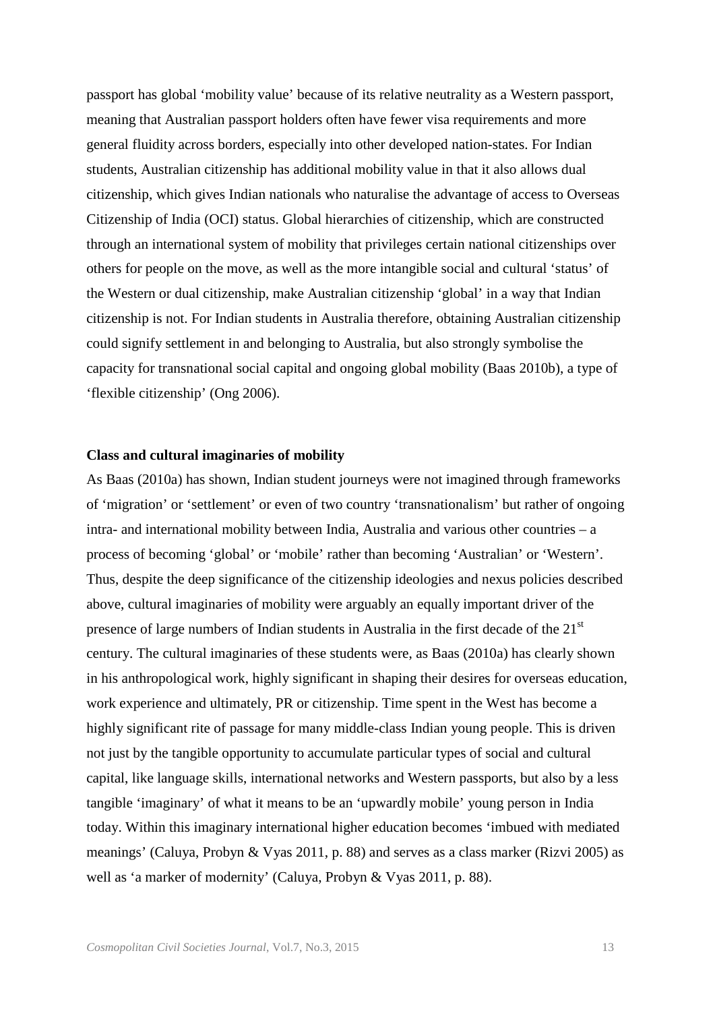passport has global 'mobility value' because of its relative neutrality as a Western passport, meaning that Australian passport holders often have fewer visa requirements and more general fluidity across borders, especially into other developed nation-states. For Indian students, Australian citizenship has additional mobility value in that it also allows dual citizenship, which gives Indian nationals who naturalise the advantage of access to Overseas Citizenship of India (OCI) status. Global hierarchies of citizenship, which are constructed through an international system of mobility that privileges certain national citizenships over others for people on the move, as well as the more intangible social and cultural 'status' of the Western or dual citizenship, make Australian citizenship 'global' in a way that Indian citizenship is not. For Indian students in Australia therefore, obtaining Australian citizenship could signify settlement in and belonging to Australia, but also strongly symbolise the capacity for transnational social capital and ongoing global mobility (Baas 2010b), a type of 'flexible citizenship' (Ong 2006).

### **Class and cultural imaginaries of mobility**

As Baas (2010a) has shown, Indian student journeys were not imagined through frameworks of 'migration' or 'settlement' or even of two country 'transnationalism' but rather of ongoing intra- and international mobility between India, Australia and various other countries – a process of becoming 'global' or 'mobile' rather than becoming 'Australian' or 'Western'. Thus, despite the deep significance of the citizenship ideologies and nexus policies described above, cultural imaginaries of mobility were arguably an equally important driver of the presence of large numbers of Indian students in Australia in the first decade of the 21<sup>st</sup> century. The cultural imaginaries of these students were, as Baas (2010a) has clearly shown in his anthropological work, highly significant in shaping their desires for overseas education, work experience and ultimately, PR or citizenship. Time spent in the West has become a highly significant rite of passage for many middle-class Indian young people. This is driven not just by the tangible opportunity to accumulate particular types of social and cultural capital, like language skills, international networks and Western passports, but also by a less tangible 'imaginary' of what it means to be an 'upwardly mobile' young person in India today. Within this imaginary international higher education becomes 'imbued with mediated meanings' (Caluya, Probyn & Vyas 2011, p. 88) and serves as a class marker (Rizvi 2005) as well as 'a marker of modernity' (Caluya, Probyn & Vyas 2011, p. 88).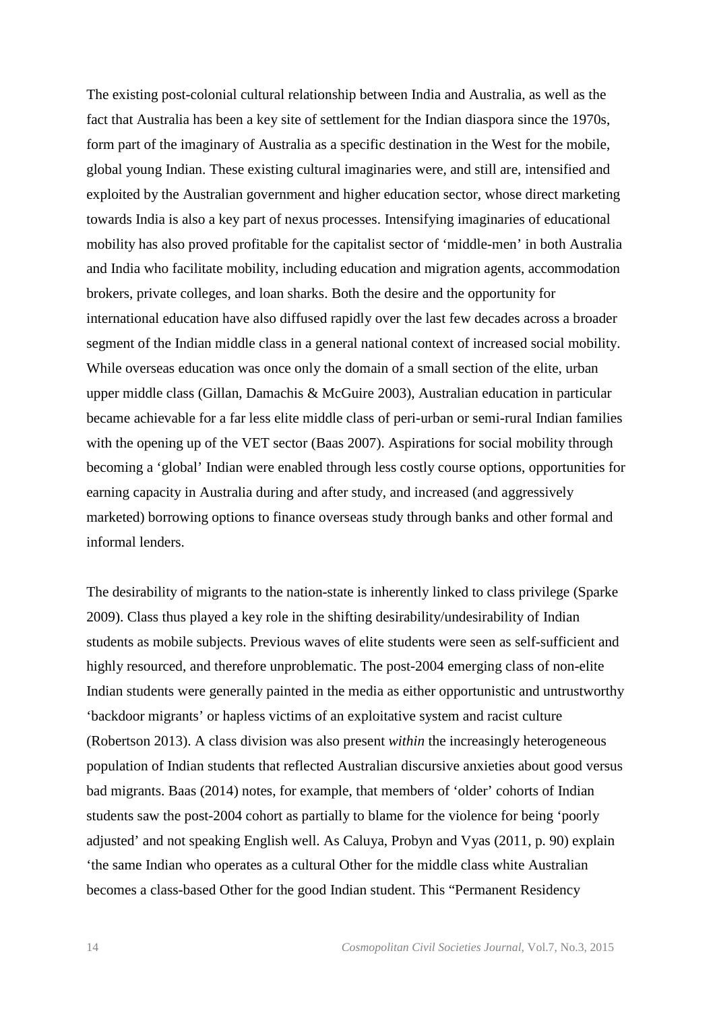The existing post-colonial cultural relationship between India and Australia, as well as the fact that Australia has been a key site of settlement for the Indian diaspora since the 1970s, form part of the imaginary of Australia as a specific destination in the West for the mobile, global young Indian. These existing cultural imaginaries were, and still are, intensified and exploited by the Australian government and higher education sector, whose direct marketing towards India is also a key part of nexus processes. Intensifying imaginaries of educational mobility has also proved profitable for the capitalist sector of 'middle-men' in both Australia and India who facilitate mobility, including education and migration agents, accommodation brokers, private colleges, and loan sharks. Both the desire and the opportunity for international education have also diffused rapidly over the last few decades across a broader segment of the Indian middle class in a general national context of increased social mobility. While overseas education was once only the domain of a small section of the elite, urban upper middle class (Gillan, Damachis & McGuire 2003), Australian education in particular became achievable for a far less elite middle class of peri-urban or semi-rural Indian families with the opening up of the VET sector (Baas 2007). Aspirations for social mobility through becoming a 'global' Indian were enabled through less costly course options, opportunities for earning capacity in Australia during and after study, and increased (and aggressively marketed) borrowing options to finance overseas study through banks and other formal and informal lenders.

The desirability of migrants to the nation-state is inherently linked to class privilege (Sparke 2009). Class thus played a key role in the shifting desirability/undesirability of Indian students as mobile subjects. Previous waves of elite students were seen as self-sufficient and highly resourced, and therefore unproblematic. The post-2004 emerging class of non-elite Indian students were generally painted in the media as either opportunistic and untrustworthy 'backdoor migrants' or hapless victims of an exploitative system and racist culture (Robertson 2013). A class division was also present *within* the increasingly heterogeneous population of Indian students that reflected Australian discursive anxieties about good versus bad migrants. Baas (2014) notes, for example, that members of 'older' cohorts of Indian students saw the post-2004 cohort as partially to blame for the violence for being 'poorly adjusted' and not speaking English well. As Caluya, Probyn and Vyas (2011, p. 90) explain 'the same Indian who operates as a cultural Other for the middle class white Australian becomes a class-based Other for the good Indian student. This "Permanent Residency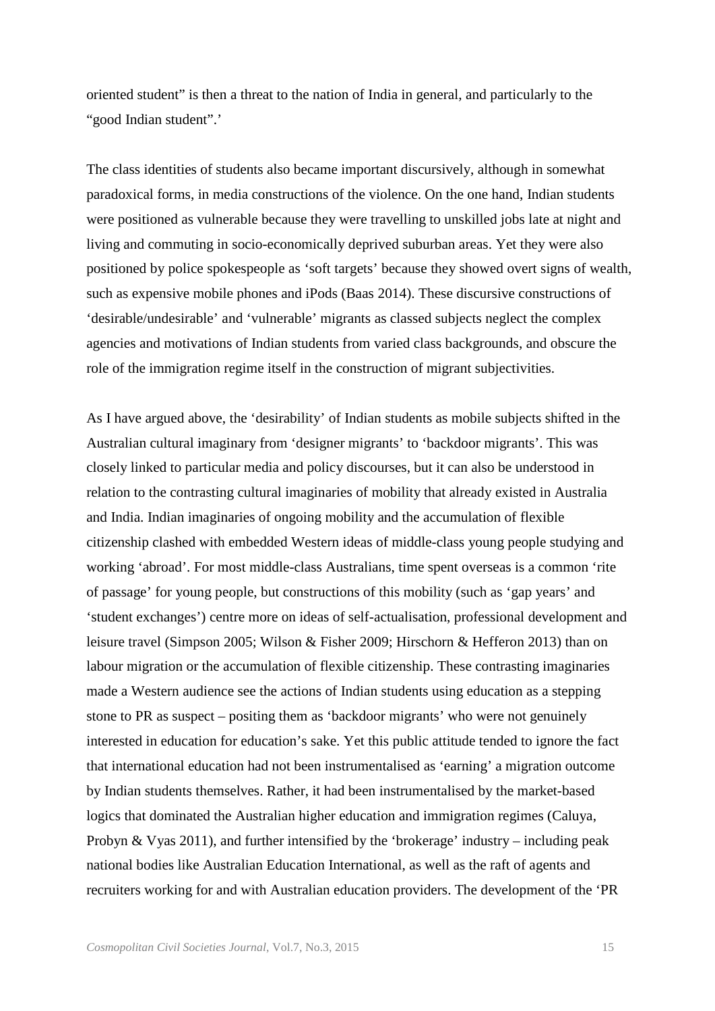oriented student" is then a threat to the nation of India in general, and particularly to the "good Indian student".'

The class identities of students also became important discursively, although in somewhat paradoxical forms, in media constructions of the violence. On the one hand, Indian students were positioned as vulnerable because they were travelling to unskilled jobs late at night and living and commuting in socio-economically deprived suburban areas. Yet they were also positioned by police spokespeople as 'soft targets' because they showed overt signs of wealth, such as expensive mobile phones and iPods (Baas 2014). These discursive constructions of 'desirable/undesirable' and 'vulnerable' migrants as classed subjects neglect the complex agencies and motivations of Indian students from varied class backgrounds, and obscure the role of the immigration regime itself in the construction of migrant subjectivities.

As I have argued above, the 'desirability' of Indian students as mobile subjects shifted in the Australian cultural imaginary from 'designer migrants' to 'backdoor migrants'. This was closely linked to particular media and policy discourses, but it can also be understood in relation to the contrasting cultural imaginaries of mobility that already existed in Australia and India. Indian imaginaries of ongoing mobility and the accumulation of flexible citizenship clashed with embedded Western ideas of middle-class young people studying and working 'abroad'. For most middle-class Australians, time spent overseas is a common 'rite of passage' for young people, but constructions of this mobility (such as 'gap years' and 'student exchanges') centre more on ideas of self-actualisation, professional development and leisure travel (Simpson 2005; Wilson & Fisher 2009; Hirschorn & Hefferon 2013) than on labour migration or the accumulation of flexible citizenship. These contrasting imaginaries made a Western audience see the actions of Indian students using education as a stepping stone to PR as suspect – positing them as 'backdoor migrants' who were not genuinely interested in education for education's sake. Yet this public attitude tended to ignore the fact that international education had not been instrumentalised as 'earning' a migration outcome by Indian students themselves. Rather, it had been instrumentalised by the market-based logics that dominated the Australian higher education and immigration regimes (Caluya, Probyn & Vyas 2011), and further intensified by the 'brokerage' industry – including peak national bodies like Australian Education International, as well as the raft of agents and recruiters working for and with Australian education providers. The development of the 'PR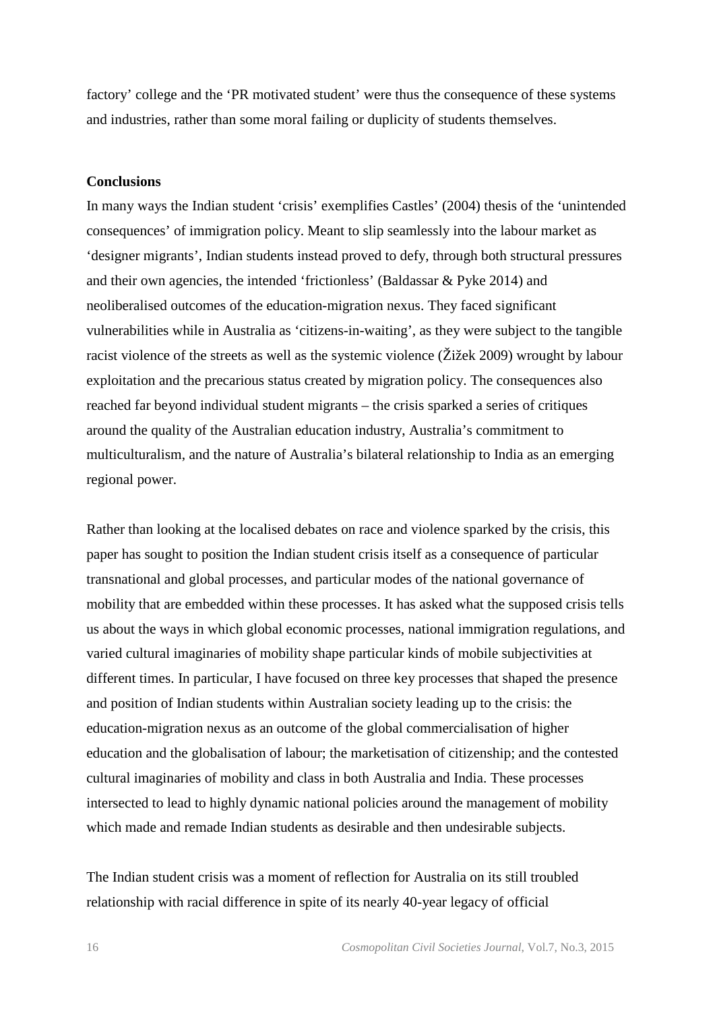factory' college and the 'PR motivated student' were thus the consequence of these systems and industries, rather than some moral failing or duplicity of students themselves.

## **Conclusions**

In many ways the Indian student 'crisis' exemplifies Castles' (2004) thesis of the 'unintended consequences' of immigration policy. Meant to slip seamlessly into the labour market as 'designer migrants', Indian students instead proved to defy, through both structural pressures and their own agencies, the intended 'frictionless' (Baldassar & Pyke 2014) and neoliberalised outcomes of the education-migration nexus. They faced significant vulnerabilities while in Australia as 'citizens-in-waiting', as they were subject to the tangible racist violence of the streets as well as the systemic violence (Žižek 2009) wrought by labour exploitation and the precarious status created by migration policy. The consequences also reached far beyond individual student migrants – the crisis sparked a series of critiques around the quality of the Australian education industry, Australia's commitment to multiculturalism, and the nature of Australia's bilateral relationship to India as an emerging regional power.

Rather than looking at the localised debates on race and violence sparked by the crisis, this paper has sought to position the Indian student crisis itself as a consequence of particular transnational and global processes, and particular modes of the national governance of mobility that are embedded within these processes. It has asked what the supposed crisis tells us about the ways in which global economic processes, national immigration regulations, and varied cultural imaginaries of mobility shape particular kinds of mobile subjectivities at different times. In particular, I have focused on three key processes that shaped the presence and position of Indian students within Australian society leading up to the crisis: the education-migration nexus as an outcome of the global commercialisation of higher education and the globalisation of labour; the marketisation of citizenship; and the contested cultural imaginaries of mobility and class in both Australia and India. These processes intersected to lead to highly dynamic national policies around the management of mobility which made and remade Indian students as desirable and then undesirable subjects.

The Indian student crisis was a moment of reflection for Australia on its still troubled relationship with racial difference in spite of its nearly 40-year legacy of official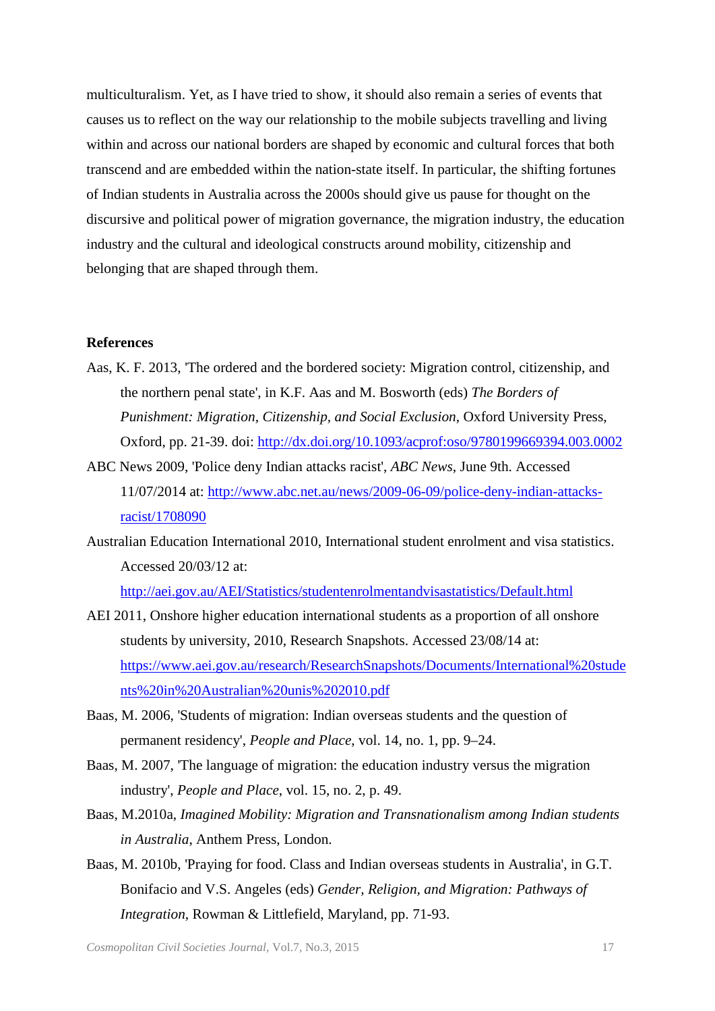multiculturalism. Yet, as I have tried to show, it should also remain a series of events that causes us to reflect on the way our relationship to the mobile subjects travelling and living within and across our national borders are shaped by economic and cultural forces that both transcend and are embedded within the nation-state itself. In particular, the shifting fortunes of Indian students in Australia across the 2000s should give us pause for thought on the discursive and political power of migration governance, the migration industry, the education industry and the cultural and ideological constructs around mobility, citizenship and belonging that are shaped through them.

## **References**

- Aas, K. F. 2013, 'The ordered and the bordered society: Migration control, citizenship, and the northern penal state', in K.F. Aas and M. Bosworth (eds) *The Borders of Punishment: Migration, Citizenship, and Social Exclusion*, Oxford University Press, Oxford, pp. 21-39. doi: <http://dx.doi.org/10.1093/acprof:oso/9780199669394.003.0002>
- ABC News 2009, 'Police deny Indian attacks racist', *ABC News*, June 9th. Accessed 11/07/2014 at: [http://www.abc.net.au/news/2009-06-09/police-deny-indian-attacks](http://www.abc.net.au/news/2009-06-09/police-deny-indian-attacks-racist/1708090)[racist/1708090](http://www.abc.net.au/news/2009-06-09/police-deny-indian-attacks-racist/1708090)
- Australian Education International 2010, International student enrolment and visa statistics. Accessed 20/03/12 at:

<http://aei.gov.au/AEI/Statistics/studentenrolmentandvisastatistics/Default.html>

- AEI 2011, Onshore higher education international students as a proportion of all onshore students by university, 2010, Research Snapshots. Accessed 23/08/14 at: [https://www.aei.gov.au/research/ResearchSnapshots/Documents/International%20stude](https://www.aei.gov.au/research/ResearchSnapshots/Documents/International%20students%20in%20Australian%20unis%202010.pdf) [nts%20in%20Australian%20unis%202010.pdf](https://www.aei.gov.au/research/ResearchSnapshots/Documents/International%20students%20in%20Australian%20unis%202010.pdf)
- Baas, M. 2006, 'Students of migration: Indian overseas students and the question of permanent residency', *People and Place*, vol. 14, no. 1, pp. 9–24.
- Baas, M. 2007, 'The language of migration: the education industry versus the migration industry', *People and Place*, vol. 15, no. 2, p. 49.
- Baas, M.2010a, *Imagined Mobility: Migration and Transnationalism among Indian students in Australia*, Anthem Press, London.
- Baas, M. 2010b, 'Praying for food. Class and Indian overseas students in Australia', in G.T. Bonifacio and V.S. Angeles (eds) *Gender, Religion, and Migration: Pathways of Integration*, Rowman & Littlefield, Maryland, pp. 71-93.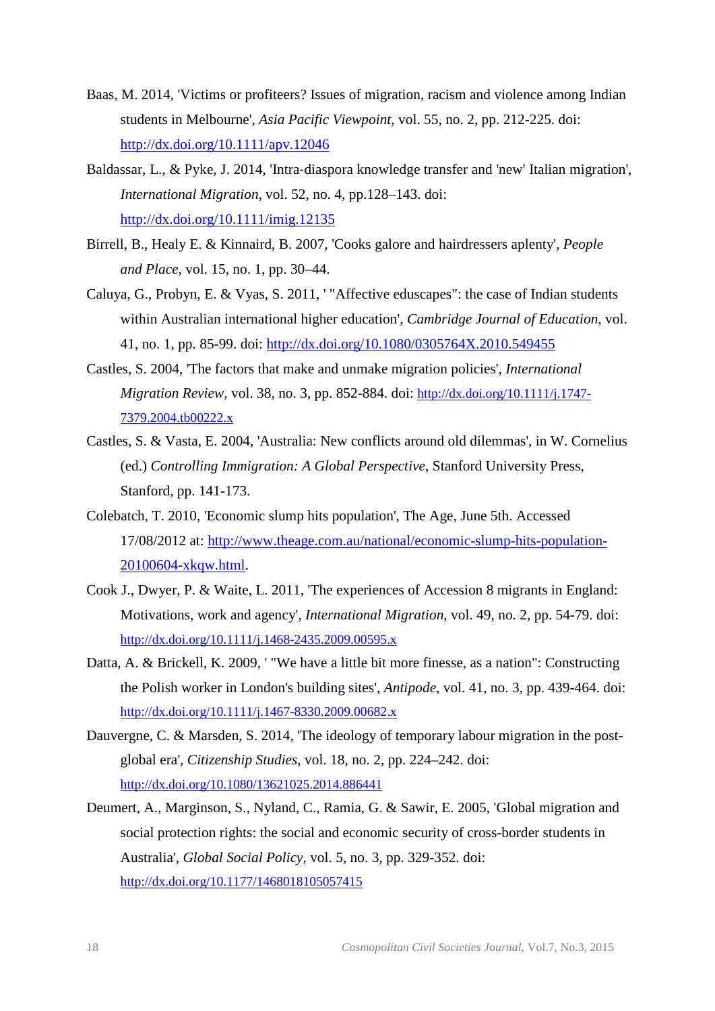- Baas, M. 2014, 'Victims or profiteers? Issues of migration, racism and violence among Indian students in Melbourne'*, Asia Pacific Viewpoint*, vol. 55, no. 2, pp. 212-225. doi: <http://dx.doi.org/10.1111/apv.12046>
- Baldassar, L., & Pyke, J. 2014, 'Intra‐diaspora knowledge transfer and 'new' Italian migration', *International Migration*, vol. 52, no. 4, pp.128–143. doi: <http://dx.doi.org/10.1111/imig.12135>
- Birrell, B., Healy E. & Kinnaird, B. 2007, 'Cooks galore and hairdressers aplenty', *People and Place*, vol. 15, no. 1, pp. 30–44.
- Caluya, G., Probyn, E. & Vyas, S. 2011, ' "Affective eduscapes": the case of Indian students within Australian international higher education', *Cambridge Journal of Education*, vol. 41, no. 1, pp. 85-99. doi: <http://dx.doi.org/10.1080/0305764X.2010.549455>
- Castles, S. 2004, 'The factors that make and unmake migration policies', *International Migration Review*, vol. 38, no. 3, pp. 852-884. doi: [http://dx.doi.org/10.1111/j.1747-](http://dx.doi.org/10.1111/j.1747-7379.2004.tb00222.x) [7379.2004.tb00222.x](http://dx.doi.org/10.1111/j.1747-7379.2004.tb00222.x)
- Castles, S. & Vasta, E. 2004, 'Australia: New conflicts around old dilemmas', in W. Cornelius (ed.) *Controlling Immigration: A Global Perspective*, Stanford University Press, Stanford, pp. 141-173.
- Colebatch, T. 2010, 'Economic slump hits population', The Age, June 5th. Accessed 17/08/2012 at: [http://www.theage.com.au/national/economic-slump-hits-population-](http://www.theage.com.au/national/economic-slump-hits-population-20100604-xkqw.html)[20100604-xkqw.html.](http://www.theage.com.au/national/economic-slump-hits-population-20100604-xkqw.html)
- Cook J., Dwyer, P. & Waite, L. 2011, 'The experiences of Accession 8 migrants in England: Motivations, work and agency', *International Migration*, vol. 49, no. 2, pp. 54-79. doi: <http://dx.doi.org/10.1111/j.1468-2435.2009.00595.x>
- Datta, A. & Brickell, K. 2009, ' "We have a little bit more finesse, as a nation": Constructing the Polish worker in London's building sites', *Antipode*, vol. 41, no. 3, pp. 439-464. doi: <http://dx.doi.org/10.1111/j.1467-8330.2009.00682.x>
- Dauvergne, C. & Marsden, S. 2014, 'The ideology of temporary labour migration in the postglobal era', *Citizenship Studies*, vol. 18, no. 2, pp. 224–242. doi: <http://dx.doi.org/10.1080/13621025.2014.886441>
- Deumert, A., Marginson, S., Nyland, C., Ramia, G. & Sawir, E. 2005, 'Global migration and social protection rights: the social and economic security of cross-border students in Australia', *Global Social Policy*, vol. 5, no. 3, pp. 329-352. doi: <http://dx.doi.org/10.1177/1468018105057415>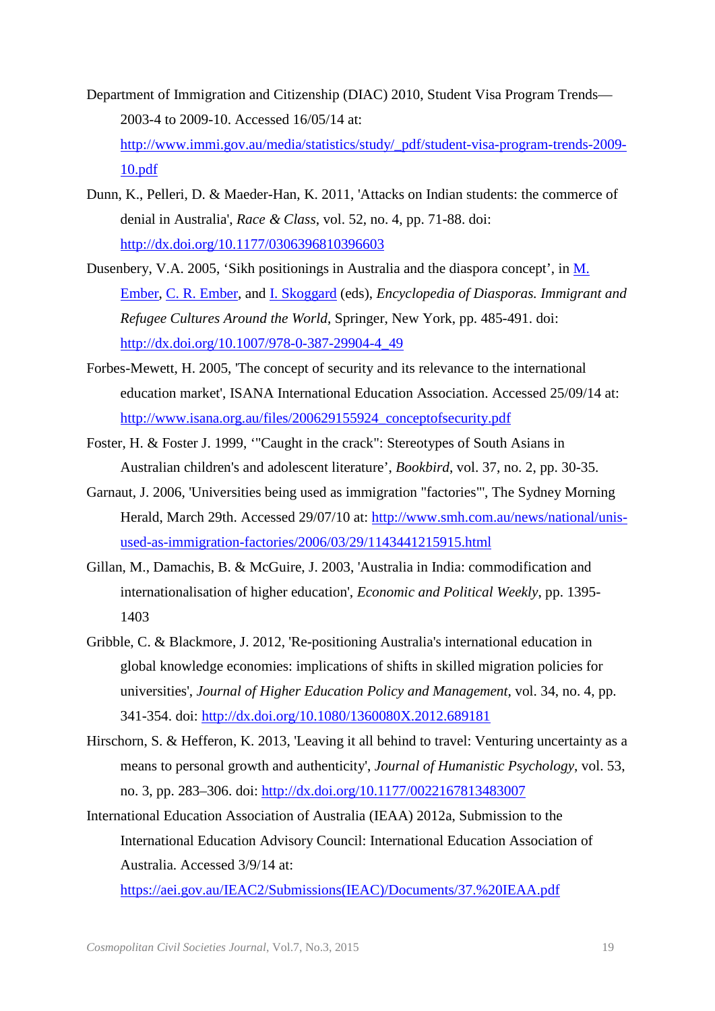- Department of Immigration and Citizenship (DIAC) 2010, Student Visa Program Trends— 2003-4 to 2009-10. Accessed 16/05/14 at: [http://www.immi.gov.au/media/statistics/study/\\_pdf/student-visa-program-trends-2009-](http://www.immi.gov.au/media/statistics/study/_pdf/student-visa-program-trends-2009-10.pdf) [10.pdf](http://www.immi.gov.au/media/statistics/study/_pdf/student-visa-program-trends-2009-10.pdf)
- Dunn, K., Pelleri, D. & Maeder-Han, K. 2011, 'Attacks on Indian students: the commerce of denial in Australia', *Race & Class*, vol. 52, no. 4, pp. 71-88. doi: <http://dx.doi.org/10.1177/0306396810396603>
- Dusenbery, V.A. 2005, 'Sikh positionings in Australia and the diaspora concept', in [M.](http://link.springer.com/search?facet-creator=%22Melvin+Ember%22)  [Ember,](http://link.springer.com/search?facet-creator=%22Melvin+Ember%22) [C. R. Ember,](http://link.springer.com/search?facet-creator=%22Carol+R.+Ember%22) and [I. Skoggard](http://link.springer.com/search?facet-creator=%22Ian+Skoggard%22) (eds), *Encyclopedia of Diasporas. Immigrant and Refugee Cultures Around the World*, Springer, New York, pp. 485-491. doi: [http://dx.doi.org/10.1007/978-0-387-29904-4\\_49](http://dx.doi.org/10.1007/978-0-387-29904-4_49)
- Forbes-Mewett, H. 2005, 'The concept of security and its relevance to the international education market', ISANA International Education Association. Accessed 25/09/14 at: [http://www.isana.org.au/files/200629155924\\_conceptofsecurity.pdf](http://www.isana.org.au/files/200629155924_conceptofsecurity.pdf)
- Foster, H. & Foster J. 1999, '"Caught in the crack": Stereotypes of South Asians in Australian children's and adolescent literature', *Bookbird*, vol. 37, no. 2, pp. 30-35.
- Garnaut, J. 2006, 'Universities being used as immigration "factories"', The Sydney Morning Herald, March 29th. Accessed 29/07/10 at: [http://www.smh.com.au/news/national/unis](http://www.smh.com.au/news/national/unis-used-as-immigration-factories/2006/03/29/1143441215915.html)[used-as-immigration-factories/2006/03/29/1143441215915.html](http://www.smh.com.au/news/national/unis-used-as-immigration-factories/2006/03/29/1143441215915.html)
- Gillan, M., Damachis, B. & McGuire, J. 2003, 'Australia in India: commodification and internationalisation of higher education', *Economic and Political Weekly*, pp. 1395- 1403
- Gribble, C. & Blackmore, J. 2012, 'Re-positioning Australia's international education in global knowledge economies: implications of shifts in skilled migration policies for universities', *Journal of Higher Education Policy and Management*, vol. 34, no. 4, pp. 341-354. doi: <http://dx.doi.org/10.1080/1360080X.2012.689181>
- Hirschorn, S. & Hefferon, K. 2013, 'Leaving it all behind to travel: Venturing uncertainty as a means to personal growth and authenticity', *Journal of Humanistic Psychology*, vol. 53, no. 3, pp. 283–306. doi: <http://dx.doi.org/10.1177/0022167813483007>
- International Education Association of Australia (IEAA) 2012a, Submission to the International Education Advisory Council: International Education Association of Australia. Accessed 3/9/14 at:

[https://aei.gov.au/IEAC2/Submissions\(IEAC\)/Documents/37.%20IEAA.pdf](https://aei.gov.au/IEAC2/Submissions(IEAC)/Documents/37.%20IEAA.pdf)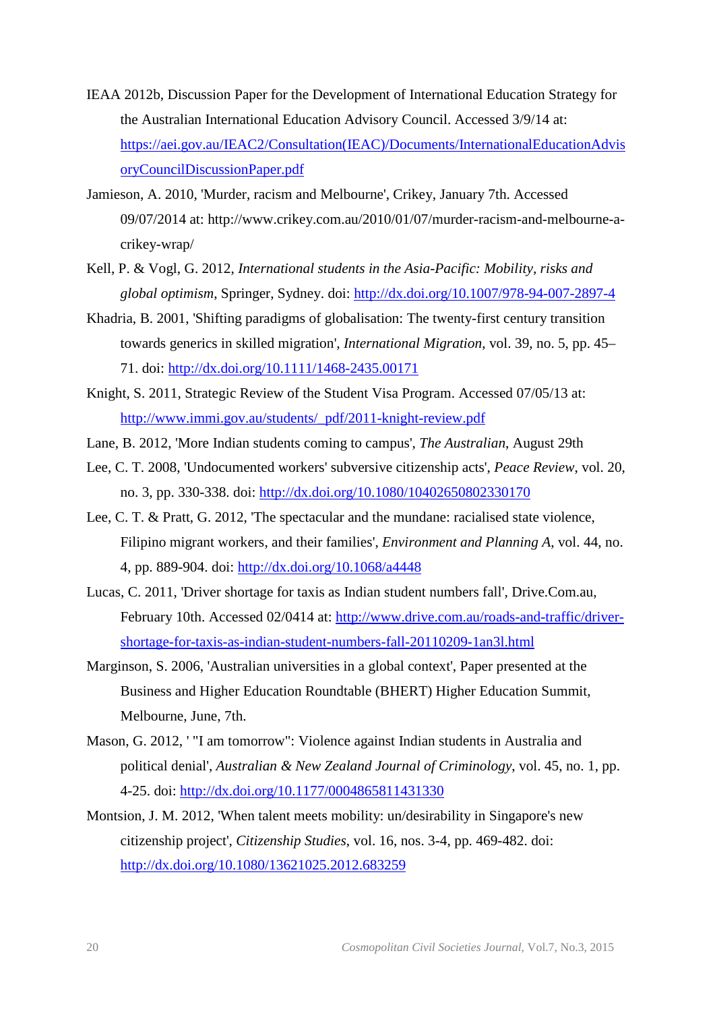- IEAA 2012b, Discussion Paper for the Development of International Education Strategy for the Australian International Education Advisory Council. Accessed 3/9/14 at: [https://aei.gov.au/IEAC2/Consultation\(IEAC\)/Documents/InternationalEducationAdvis](https://aei.gov.au/IEAC2/Consultation(IEAC)/Documents/InternationalEducationAdvisoryCouncilDiscussionPaper.pdf) [oryCouncilDiscussionPaper.pdf](https://aei.gov.au/IEAC2/Consultation(IEAC)/Documents/InternationalEducationAdvisoryCouncilDiscussionPaper.pdf)
- Jamieson, A. 2010, 'Murder, racism and Melbourne', Crikey, January 7th. Accessed 09/07/2014 at: http://www.crikey.com.au/2010/01/07/murder-racism-and-melbourne-acrikey-wrap/
- Kell, P. & Vogl, G. 2012, *International students in the Asia-Pacific: Mobility, risks and global optimism*, Springer, Sydney. doi: <http://dx.doi.org/10.1007/978-94-007-2897-4>
- Khadria, B. 2001, 'Shifting paradigms of globalisation: The twenty-first century transition towards generics in skilled migration', *International Migration*, vol. 39, no. 5, pp. 45– 71. doi: <http://dx.doi.org/10.1111/1468-2435.00171>
- Knight, S. 2011, Strategic Review of the Student Visa Program. Accessed 07/05/13 at: [http://www.immi.gov.au/students/\\_pdf/2011-knight-review.pdf](http://www.immi.gov.au/students/_pdf/2011-knight-review.pdf)
- Lane, B. 2012, 'More Indian students coming to campus', *The Australian*, August 29th
- Lee, C. T. 2008, 'Undocumented workers' subversive citizenship acts', *Peace Review*, vol. 20, no. 3, pp. 330-338. doi: <http://dx.doi.org/10.1080/10402650802330170>
- Lee, C. T. & Pratt, G. 2012, 'The spectacular and the mundane: racialised state violence, Filipino migrant workers, and their families', *Environment and Planning A*, vol. 44, no. 4, pp. 889-904. doi: <http://dx.doi.org/10.1068/a4448>
- Lucas, C. 2011, 'Driver shortage for taxis as Indian student numbers fall', Drive.Com.au, February 10th. Accessed 02/0414 at: [http://www.drive.com.au/roads-and-traffic/driver](http://www.drive.com.au/roads-and-traffic/driver-shortage-for-taxis-as-indian-student-numbers-fall-20110209-1an3l.html)[shortage-for-taxis-as-indian-student-numbers-fall-20110209-1an3l.html](http://www.drive.com.au/roads-and-traffic/driver-shortage-for-taxis-as-indian-student-numbers-fall-20110209-1an3l.html)
- Marginson, S. 2006, 'Australian universities in a global context', Paper presented at the Business and Higher Education Roundtable (BHERT) Higher Education Summit, Melbourne, June, 7th.
- Mason, G. 2012, ' "I am tomorrow": Violence against Indian students in Australia and political denial', *Australian & New Zealand Journal of Criminology*, vol. 45, no. 1, pp. 4-25. doi: <http://dx.doi.org/10.1177/0004865811431330>
- Montsion, J. M. 2012, 'When talent meets mobility: un/desirability in Singapore's new citizenship project', *Citizenship Studies*, vol. 16, nos. 3-4, pp. 469-482. doi: <http://dx.doi.org/10.1080/13621025.2012.683259>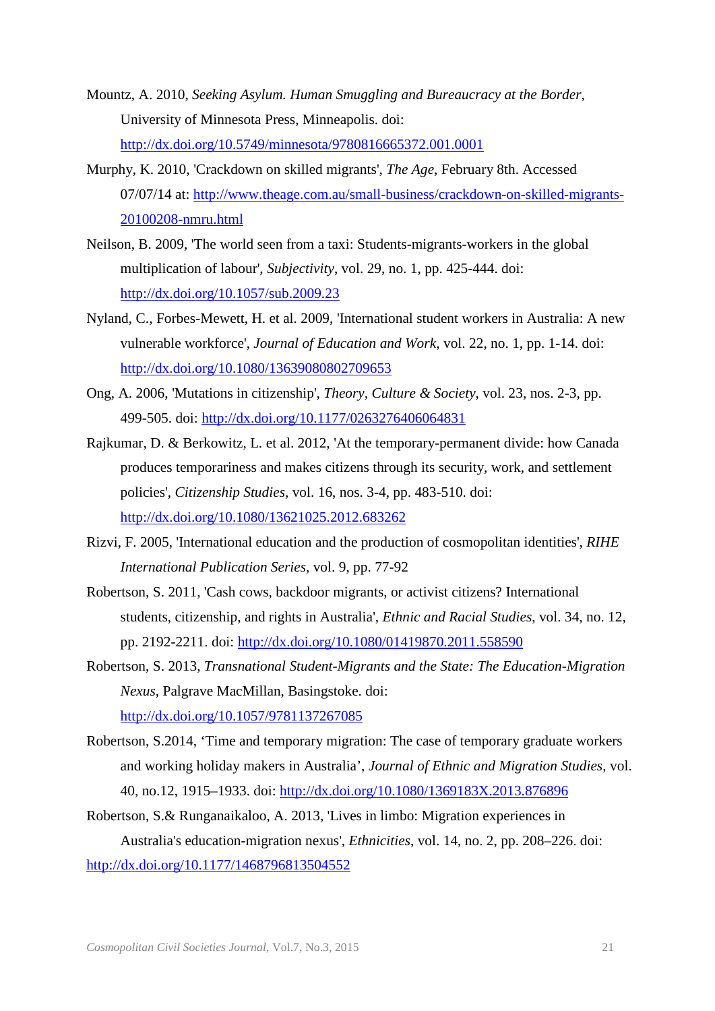- Mountz, A. 2010, *Seeking Asylum. Human Smuggling and Bureaucracy at the Border*, University of Minnesota Press, Minneapolis. doi: <http://dx.doi.org/10.5749/minnesota/9780816665372.001.0001>
- Murphy, K. 2010, 'Crackdown on skilled migrants', *The Age*, February 8th. Accessed 07/07/14 at: [http://www.theage.com.au/small-business/crackdown-on-skilled-migrants-](http://www.theage.com.au/small-business/crackdown-on-skilled-migrants-20100208-nmru.html)[20100208-nmru.html](http://www.theage.com.au/small-business/crackdown-on-skilled-migrants-20100208-nmru.html)
- Neilson, B. 2009, 'The world seen from a taxi: Students-migrants-workers in the global multiplication of labour', *Subjectivity*, vol. 29, no. 1, pp. 425-444. doi: <http://dx.doi.org/10.1057/sub.2009.23>
- Nyland, C., Forbes-Mewett, H. et al. 2009, 'International student workers in Australia: A new vulnerable workforce', *Journal of Education and Work*, vol. 22, no. 1, pp. 1-14. doi: <http://dx.doi.org/10.1080/13639080802709653>
- Ong, A. 2006, 'Mutations in citizenship', *Theory, Culture & Society*, vol. 23, nos. 2-3, pp. 499-505. doi: <http://dx.doi.org/10.1177/0263276406064831>
- Rajkumar, D. & Berkowitz, L. et al. 2012, 'At the temporary-permanent divide: how Canada produces temporariness and makes citizens through its security, work, and settlement policies', *Citizenship Studies*, vol. 16, nos. 3-4, pp. 483-510. doi: <http://dx.doi.org/10.1080/13621025.2012.683262>
- Rizvi, F. 2005, 'International education and the production of cosmopolitan identities', *RIHE International Publication Series*, vol. 9, pp. 77-92
- Robertson, S. 2011, 'Cash cows, backdoor migrants, or activist citizens? International students, citizenship, and rights in Australia', *Ethnic and Racial Studies*, vol. 34, no. 12, pp. 2192-2211. doi: <http://dx.doi.org/10.1080/01419870.2011.558590>
- Robertson, S. 2013, *Transnational Student-Migrants and the State: The Education-Migration Nexus*, Palgrave MacMillan, Basingstoke. doi: <http://dx.doi.org/10.1057/9781137267085>
- Robertson, S.2014, 'Time and temporary migration: The case of temporary graduate workers and working holiday makers in Australia', *Journal of Ethnic and Migration Studies*, vol. 40, no.12, 1915–1933. doi: <http://dx.doi.org/10.1080/1369183X.2013.876896>
- Robertson, S.& Runganaikaloo, A. 2013, 'Lives in limbo: Migration experiences in Australia's education-migration nexus'*, Ethnicities*, vol. 14, no. 2, pp. 208–226. doi: <http://dx.doi.org/10.1177/1468796813504552>